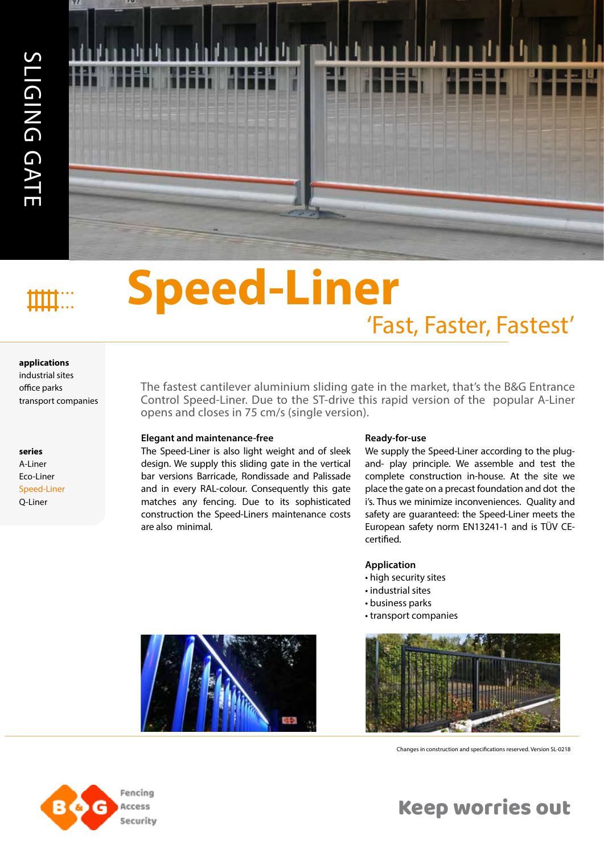

# 'Fast, Faster, Fastest' **Speed-Liner**

#### **applications**

industrial sites office parks

**series** A-Liner Eco-Liner Speed-Liner Q-Liner

The fastest cantilever aluminium sliding gate in the market, that's the B&G Entrance Control Speed-Liner. Due to the ST-drive this rapid version of the popular A-Liner opens and closes in 75 cm/s (single version).

#### **Elegant and maintenance-free**

The Speed-Liner is also light weight and of sleek design. We supply this sliding gate in the vertical bar versions Barricade, Rondissade and Palissade and in every RAL-colour. Consequently this gate matches any fencing. Due to its sophisticated construction the Speed-Liners maintenance costs are also minimal.

#### **Ready-for-use**

We supply the Speed-Liner according to the plugand- play principle. We assemble and test the complete construction in-house. At the site we place the gate on a precast foundation and dot the i's. Thus we minimize inconveniences. Quality and safety are guaranteed: the Speed-Liner meets the European safety norm EN13241-1 and is TÜV CEcertified.

#### **Application**

- high security sites
- industrial sites
- business parks
- transport companies





Changes in construction and specifications reserved. Version SL-0218



## Keep worries out